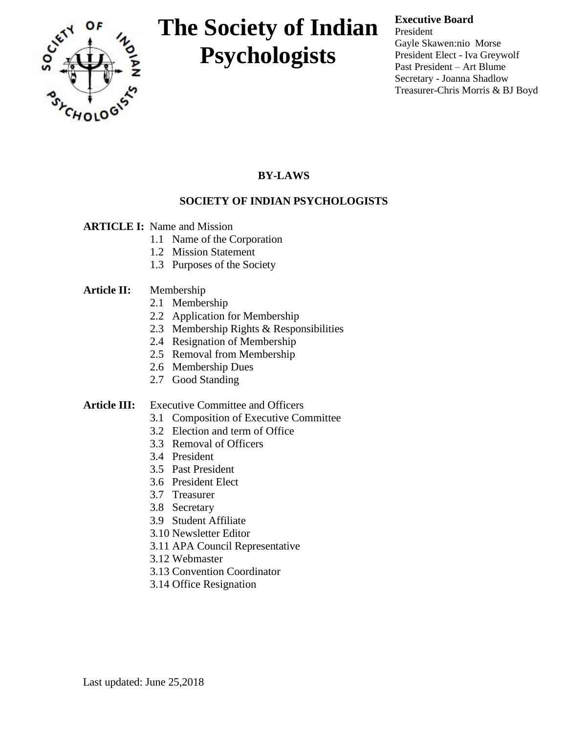

## **Executive Board**

President Gayle Skawen:nio Morse President Elect - Iva Greywolf Past President – Art Blume Secretary - Joanna Shadlow Treasurer-Chris Morris & BJ Boyd

## **BY-LAWS**

## **SOCIETY OF INDIAN PSYCHOLOGISTS**

### **ARTICLE I:** Name and Mission

- 1.1 Name of the Corporation
- 1.2 Mission Statement
- 1.3 Purposes of the Society

### **Article II:** Membership

- 2.1 Membership
- 2.2 Application for Membership
- 2.3 Membership Rights & Responsibilities
- 2.4 Resignation of Membership
- 2.5 Removal from Membership
- 2.6 Membership Dues
- 2.7 Good Standing

### Article **III:** Executive Committee and Officers

- 3.1 Composition of Executive Committee
- 3.2 Election and term of Office
- 3.3 Removal of Officers
- 3.4 President
- 3.5 Past President
- 3.6 President Elect
- 3.7 Treasurer
- 3.8 Secretary
- 3.9 Student Affiliate
- 3.10 Newsletter Editor
- 3.11 APA Council Representative
- 3.12 Webmaster
- 3.13 Convention Coordinator
- 3.14 Office Resignation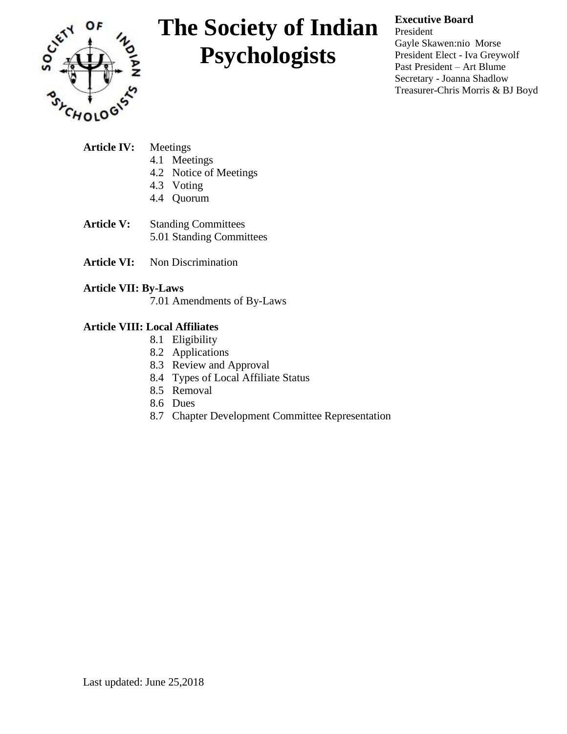

## **Executive Board**

President Gayle Skawen:nio Morse President Elect - Iva Greywolf Past President – Art Blume Secretary - Joanna Shadlow Treasurer-Chris Morris & BJ Boyd

| <b>Article IV:</b> Meetings |  |                        |
|-----------------------------|--|------------------------|
|                             |  | 4.1 Meetings           |
|                             |  | 4.2 Notice of Meetings |
|                             |  | 4.3 Voting             |
|                             |  | 4.4 Quorum             |

- **Article V:** Standing Committees 5.01 Standing Committees
- **Article VI:** Non Discrimination

### **Article VII: By-Laws**

7.01 Amendments of By-Laws

#### **Article VIII: Local Affiliates**

- 8.1 Eligibility
- 8.2 Applications
- 8.3 Review and Approval
- 8.4 Types of Local Affiliate Status
- 8.5 Removal
- 8.6 Dues
- 8.7 Chapter Development Committee Representation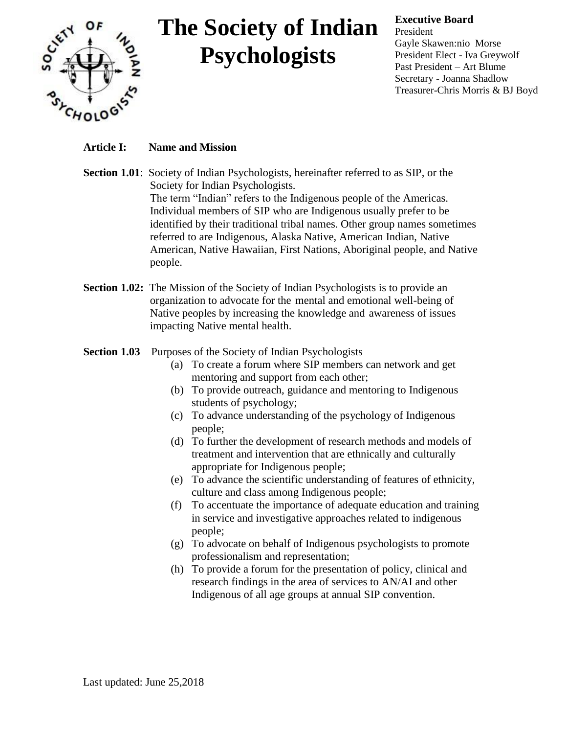

### **Executive Board**

President Gayle Skawen:nio Morse President Elect - Iva Greywolf Past President – Art Blume Secretary - Joanna Shadlow Treasurer-Chris Morris & BJ Boyd

## **Article I: Name and Mission**

- **Section 1.01**: Society of Indian Psychologists, hereinafter referred to as SIP, or the Society for Indian Psychologists. The term "Indian" refers to the Indigenous people of the Americas. Individual members of SIP who are Indigenous usually prefer to be identified by their traditional tribal names. Other group names sometimes referred to are Indigenous, Alaska Native, American Indian, Native American, Native Hawaiian, First Nations, Aboriginal people, and Native people.
- **Section 1.02:** The Mission of the Society of Indian Psychologists is to provide an organization to advocate for the mental and emotional well-being of Native peoples by increasing the knowledge and awareness of issues impacting Native mental health.

### **Section 1.03** Purposes of the Society of Indian Psychologists

- (a) To create a forum where SIP members can network and get mentoring and support from each other;
- (b) To provide outreach, guidance and mentoring to Indigenous students of psychology;
- (c) To advance understanding of the psychology of Indigenous people;
- (d) To further the development of research methods and models of treatment and intervention that are ethnically and culturally appropriate for Indigenous people;
- (e) To advance the scientific understanding of features of ethnicity, culture and class among Indigenous people;
- (f) To accentuate the importance of adequate education and training in service and investigative approaches related to indigenous people;
- (g) To advocate on behalf of Indigenous psychologists to promote professionalism and representation;
- (h) To provide a forum for the presentation of policy, clinical and research findings in the area of services to AN/AI and other Indigenous of all age groups at annual SIP convention.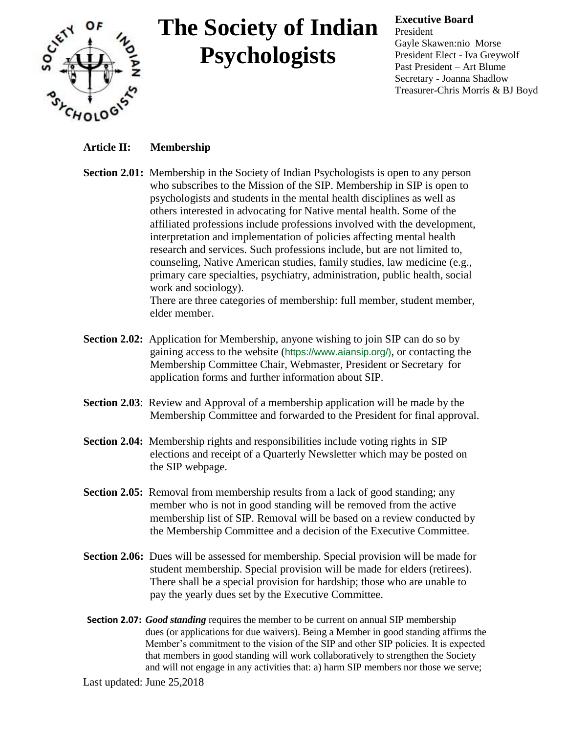

#### **Executive Board**

President Gayle Skawen:nio Morse President Elect - Iva Greywolf Past President – Art Blume Secretary - Joanna Shadlow Treasurer-Chris Morris & BJ Boyd

## **Article II: Membership**

**Section 2.01:** Membership in the Society of Indian Psychologists is open to any person who subscribes to the Mission of the SIP. Membership in SIP is open to psychologists and students in the mental health disciplines as well as others interested in advocating for Native mental health. Some of the affiliated professions include professions involved with the development, interpretation and implementation of policies affecting mental health research and services. Such professions include, but are not limited to, counseling, Native American studies, family studies, law medicine (e.g., primary care specialties, psychiatry, administration, public health, social work and sociology).

There are three categories of membership: full member, student member, elder member.

- **Section 2.02:** Application for Membership, anyone wishing to join SIP can do so by gaining access to the website (https://www.aiansip.org/), or contacting the Membership Committee Chair, Webmaster, President or Secretary for application forms and further information about SIP.
- **Section 2.03**: Review and Approval of a membership application will be made by the Membership Committee and forwarded to the President for final approval.
- **Section 2.04:** Membership rights and responsibilities include voting rights in SIP elections and receipt of a Quarterly Newsletter which may be posted on the SIP webpage.
- **Section 2.05:** Removal from membership results from a lack of good standing; any member who is not in good standing will be removed from the active membership list of SIP. Removal will be based on a review conducted by the Membership Committee and a decision of the Executive Committee.
- **Section 2.06:** Dues will be assessed for membership. Special provision will be made for student membership. Special provision will be made for elders (retirees). There shall be a special provision for hardship; those who are unable to pay the yearly dues set by the Executive Committee.
- **Section 2.07:** *Good standing* requires the member to be current on annual SIP membership dues (or applications for due waivers). Being a Member in good standing affirms the Member's commitment to the vision of the SIP and other SIP policies. It is expected that members in good standing will work collaboratively to strengthen the Society and will not engage in any activities that: a) harm SIP members nor those we serve;

Last updated: June 25,2018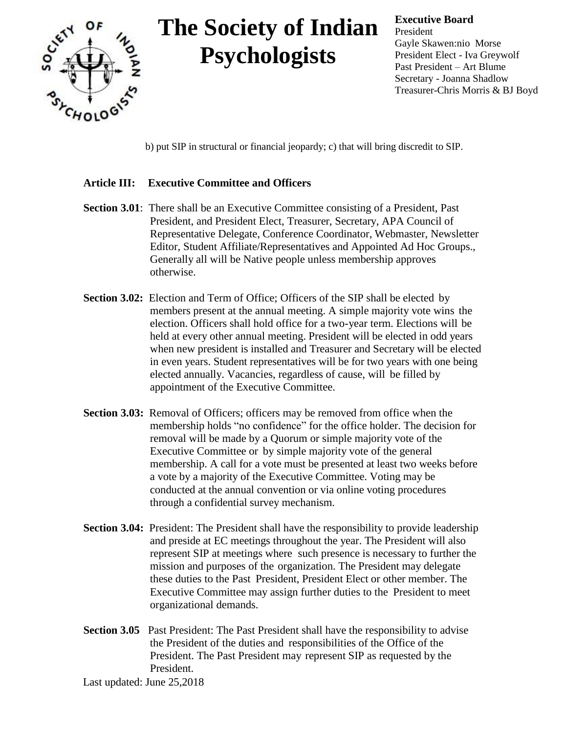

**Executive Board** President Gayle Skawen:nio Morse President Elect - Iva Greywolf Past President – Art Blume Secretary - Joanna Shadlow Treasurer-Chris Morris & BJ Boyd

b) put SIP in structural or financial jeopardy; c) that will bring discredit to SIP.

### **Article III: Executive Committee and Officers**

- **Section 3.01**: There shall be an Executive Committee consisting of a President, Past President, and President Elect, Treasurer, Secretary, APA Council of Representative Delegate, Conference Coordinator, Webmaster, Newsletter Editor, Student Affiliate/Representatives and Appointed Ad Hoc Groups., Generally all will be Native people unless membership approves otherwise.
- **Section 3.02:** Election and Term of Office; Officers of the SIP shall be elected by members present at the annual meeting. A simple majority vote wins the election. Officers shall hold office for a two-year term. Elections will be held at every other annual meeting. President will be elected in odd years when new president is installed and Treasurer and Secretary will be elected in even years. Student representatives will be for two years with one being elected annually. Vacancies, regardless of cause, will be filled by appointment of the Executive Committee.
- **Section 3.03:** Removal of Officers; officers may be removed from office when the membership holds "no confidence" for the office holder. The decision for removal will be made by a Quorum or simple majority vote of the Executive Committee or by simple majority vote of the general membership. A call for a vote must be presented at least two weeks before a vote by a majority of the Executive Committee. Voting may be conducted at the annual convention or via online voting procedures through a confidential survey mechanism.
- **Section 3.04:** President: The President shall have the responsibility to provide leadership and preside at EC meetings throughout the year. The President will also represent SIP at meetings where such presence is necessary to further the mission and purposes of the organization. The President may delegate these duties to the Past President, President Elect or other member. The Executive Committee may assign further duties to the President to meet organizational demands.
- **Section 3.05** Past President: The Past President shall have the responsibility to advise the President of the duties and responsibilities of the Office of the President. The Past President may represent SIP as requested by the President.

Last updated: June 25,2018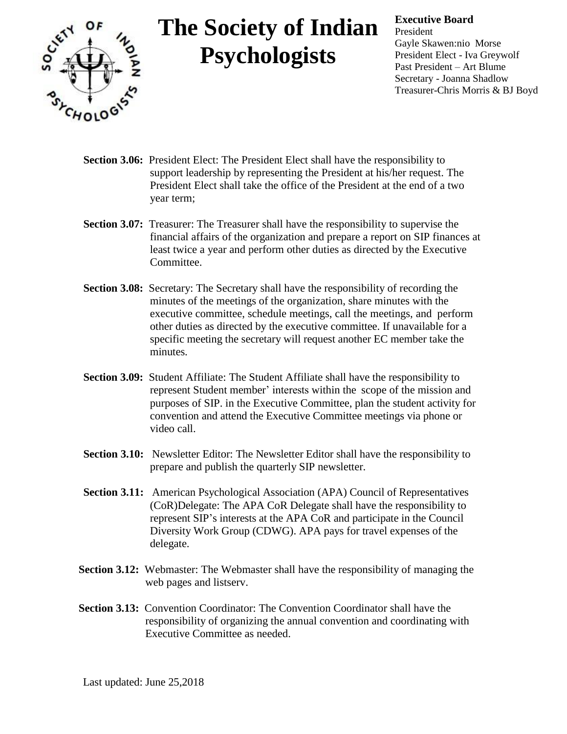

#### **Executive Board**

President Gayle Skawen:nio Morse President Elect - Iva Greywolf Past President – Art Blume Secretary - Joanna Shadlow Treasurer-Chris Morris & BJ Boyd

- **Section 3.06:** President Elect: The President Elect shall have the responsibility to support leadership by representing the President at his/her request. The President Elect shall take the office of the President at the end of a two year term;
- **Section 3.07:** Treasurer: The Treasurer shall have the responsibility to supervise the financial affairs of the organization and prepare a report on SIP finances at least twice a year and perform other duties as directed by the Executive Committee.
- **Section 3.08:** Secretary: The Secretary shall have the responsibility of recording the minutes of the meetings of the organization, share minutes with the executive committee, schedule meetings, call the meetings, and perform other duties as directed by the executive committee. If unavailable for a specific meeting the secretary will request another EC member take the minutes.
- **Section 3.09:** Student Affiliate: The Student Affiliate shall have the responsibility to represent Student member' interests within the scope of the mission and purposes of SIP. in the Executive Committee, plan the student activity for convention and attend the Executive Committee meetings via phone or video call.
- **Section 3.10:** Newsletter Editor: The Newsletter Editor shall have the responsibility to prepare and publish the quarterly SIP newsletter.
- **Section 3.11:** American Psychological Association (APA) Council of Representatives (CoR)Delegate: The APA CoR Delegate shall have the responsibility to represent SIP's interests at the APA CoR and participate in the Council Diversity Work Group (CDWG). APA pays for travel expenses of the delegate.
- **Section 3.12:** Webmaster: The Webmaster shall have the responsibility of managing the web pages and listserv.
- **Section 3.13:** Convention Coordinator: The Convention Coordinator shall have the responsibility of organizing the annual convention and coordinating with Executive Committee as needed.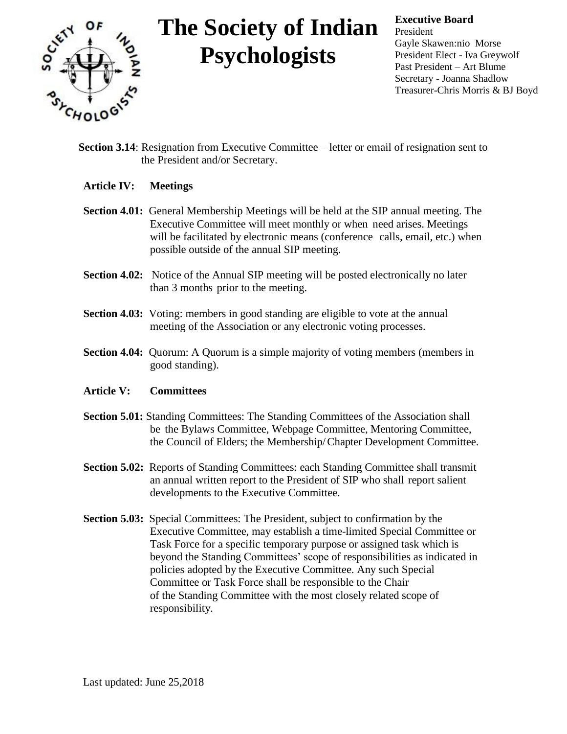

**Executive Board** President Gayle Skawen:nio Morse President Elect - Iva Greywolf Past President – Art Blume Secretary - Joanna Shadlow Treasurer-Chris Morris & BJ Boyd

- **Section 3.14:** Resignation from Executive Committee letter or email of resignation sent to the President and/or Secretary.
- **Article IV: Meetings**
- **Section 4.01:** General Membership Meetings will be held at the SIP annual meeting. The Executive Committee will meet monthly or when need arises. Meetings will be facilitated by electronic means (conference calls, email, etc.) when possible outside of the annual SIP meeting.
- **Section 4.02:** Notice of the Annual SIP meeting will be posted electronically no later than 3 months prior to the meeting.
- **Section 4.03:** Voting: members in good standing are eligible to vote at the annual meeting of the Association or any electronic voting processes.
- **Section 4.04:** Quorum: A Quorum is a simple majority of voting members (members in good standing).

#### **Article V: Committees**

- **Section 5.01:** Standing Committees: The Standing Committees of the Association shall be the Bylaws Committee, Webpage Committee, Mentoring Committee, the Council of Elders; the Membership/Chapter Development Committee.
- **Section 5.02:** Reports of Standing Committees: each Standing Committee shall transmit an annual written report to the President of SIP who shall report salient developments to the Executive Committee.
- **Section 5.03:** Special Committees: The President, subject to confirmation by the Executive Committee, may establish a time-limited Special Committee or Task Force for a specific temporary purpose or assigned task which is beyond the Standing Committees' scope of responsibilities as indicated in policies adopted by the Executive Committee. Any such Special Committee or Task Force shall be responsible to the Chair of the Standing Committee with the most closely related scope of responsibility.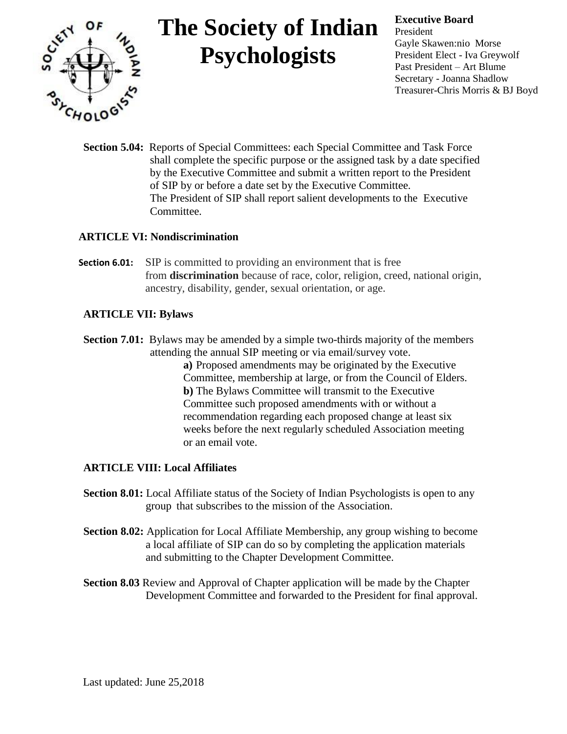

#### **Executive Board**

President Gayle Skawen:nio Morse President Elect - Iva Greywolf Past President – Art Blume Secretary - Joanna Shadlow Treasurer-Chris Morris & BJ Boyd

**Section 5.04:** Reports of Special Committees: each Special Committee and Task Force shall complete the specific purpose or the assigned task by a date specified by the Executive Committee and submit a written report to the President of SIP by or before a date set by the Executive Committee. The President of SIP shall report salient developments to the Executive Committee.

### **ARTICLE VI: Nondiscrimination**

**Section 6.01:** SIP is committed to providing an environment that is free from **discrimination** because of race, color, religion, creed, national origin, ancestry, disability, gender, sexual orientation, or age.

### **ARTICLE VII: Bylaws**

**Section 7.01:** Bylaws may be amended by a simple two-thirds majority of the members attending the annual SIP meeting or via email/survey vote.

**a)** Proposed amendments may be originated by the Executive Committee, membership at large, or from the Council of Elders. **b)** The Bylaws Committee will transmit to the Executive Committee such proposed amendments with or without a recommendation regarding each proposed change at least six weeks before the next regularly scheduled Association meeting or an email vote.

### **ARTICLE VIII: Local Affiliates**

- **Section 8.01:** Local Affiliate status of the Society of Indian Psychologists is open to any group that subscribes to the mission of the Association.
- **Section 8.02:** Application for Local Affiliate Membership, any group wishing to become a local affiliate of SIP can do so by completing the application materials and submitting to the Chapter Development Committee.
- **Section 8.03** Review and Approval of Chapter application will be made by the Chapter Development Committee and forwarded to the President for final approval.